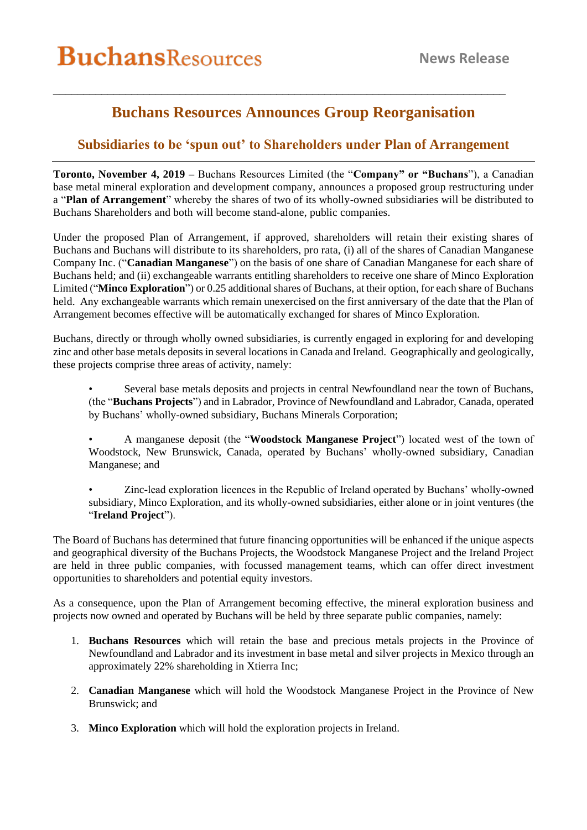## **Buchans Resources Announces Group Reorganisation**

\_\_\_\_\_\_\_\_\_\_\_\_\_\_\_\_\_\_\_\_\_\_\_\_\_\_\_\_\_\_\_\_\_\_\_\_\_\_\_\_\_\_\_\_\_\_\_\_\_\_\_\_\_\_\_\_\_\_\_\_\_\_\_\_\_\_\_\_\_\_\_\_\_\_\_

## **Subsidiaries to be 'spun out' to Shareholders under Plan of Arrangement**

**Toronto, November 4, 2019 –** Buchans Resources Limited (the "**Company" or "Buchans**"), a Canadian base metal mineral exploration and development company, announces a proposed group restructuring under a "**Plan of Arrangement**" whereby the shares of two of its wholly-owned subsidiaries will be distributed to Buchans Shareholders and both will become stand-alone, public companies.

Under the proposed Plan of Arrangement, if approved, shareholders will retain their existing shares of Buchans and Buchans will distribute to its shareholders, pro rata, (i) all of the shares of Canadian Manganese Company Inc. ("**Canadian Manganese**") on the basis of one share of Canadian Manganese for each share of Buchans held; and (ii) exchangeable warrants entitling shareholders to receive one share of Minco Exploration Limited ("**Minco Exploration**") or 0.25 additional shares of Buchans, at their option, for each share of Buchans held. Any exchangeable warrants which remain unexercised on the first anniversary of the date that the Plan of Arrangement becomes effective will be automatically exchanged for shares of Minco Exploration.

Buchans, directly or through wholly owned subsidiaries, is currently engaged in exploring for and developing zinc and other base metals deposits in several locations in Canada and Ireland. Geographically and geologically, these projects comprise three areas of activity, namely:

- Several base metals deposits and projects in central Newfoundland near the town of Buchans, (the "**Buchans Projects**") and in Labrador, Province of Newfoundland and Labrador, Canada, operated by Buchans' wholly-owned subsidiary, Buchans Minerals Corporation;
- A manganese deposit (the "**Woodstock Manganese Project**") located west of the town of Woodstock, New Brunswick, Canada, operated by Buchans' wholly-owned subsidiary, Canadian Manganese; and
- Zinc-lead exploration licences in the Republic of Ireland operated by Buchans' wholly-owned subsidiary, Minco Exploration, and its wholly-owned subsidiaries, either alone or in joint ventures (the "**Ireland Project**").

The Board of Buchans has determined that future financing opportunities will be enhanced if the unique aspects and geographical diversity of the Buchans Projects, the Woodstock Manganese Project and the Ireland Project are held in three public companies, with focussed management teams, which can offer direct investment opportunities to shareholders and potential equity investors.

As a consequence, upon the Plan of Arrangement becoming effective, the mineral exploration business and projects now owned and operated by Buchans will be held by three separate public companies, namely:

- 1. **Buchans Resources** which will retain the base and precious metals projects in the Province of Newfoundland and Labrador and its investment in base metal and silver projects in Mexico through an approximately 22% shareholding in Xtierra Inc;
- 2. **Canadian Manganese** which will hold the Woodstock Manganese Project in the Province of New Brunswick; and
- 3. **Minco Exploration** which will hold the exploration projects in Ireland.